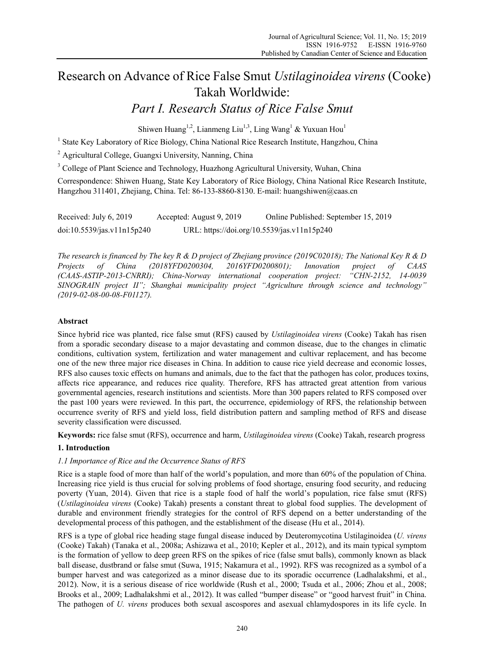# Research on Advance of Rice False Smut *Ustilaginoidea virens* (Cooke) Takah Worldwide:

# *Part I. Research Status of Rice False Smut*

Shiwen Huang<sup>1,2</sup>, Lianmeng Liu<sup>1,3</sup>, Ling Wang<sup>1</sup> & Yuxuan Hou<sup>1</sup>

<sup>1</sup> State Key Laboratory of Rice Biology, China National Rice Research Institute, Hangzhou, China

<sup>2</sup> Agricultural College, Guangxi University, Nanning, China

<sup>3</sup> College of Plant Science and Technology, Huazhong Agricultural University, Wuhan, China

Correspondence: Shiwen Huang, State Key Laboratory of Rice Biology, China National Rice Research Institute, Hangzhou 311401, Zhejiang, China. Tel: 86-133-8860-8130. E-mail: huangshiwen@caas.cn

| Received: July 6, 2019     | Accepted: August 9, 2019                    | Online Published: September 15, 2019 |
|----------------------------|---------------------------------------------|--------------------------------------|
| doi:10.5539/jas.v11n15p240 | URL: https://doi.org/10.5539/jas.v11n15p240 |                                      |

*The research is financed by The key R & D project of Zhejiang province (2019C02018); The National Key R & D Projects of China (2018YFD0200304, 2016YFD0200801); Innovation project of CAAS (CAAS-ASTIP-2013-CNRRI); China-Norway international cooperation project: "CHN-2152, 14-0039 SINOGRAIN project II"; Shanghai municipality project "Agriculture through science and technology" (2019-02-08-00-08-F01127).* 

# **Abstract**

Since hybrid rice was planted, rice false smut (RFS) caused by *Ustilaginoidea virens* (Cooke) Takah has risen from a sporadic secondary disease to a major devastating and common disease, due to the changes in climatic conditions, cultivation system, fertilization and water management and cultivar replacement, and has become one of the new three major rice diseases in China. In addition to cause rice yield decrease and economic losses, RFS also causes toxic effects on humans and animals, due to the fact that the pathogen has color, produces toxins, affects rice appearance, and reduces rice quality. Therefore, RFS has attracted great attention from various governmental agencies, research institutions and scientists. More than 300 papers related to RFS composed over the past 100 years were reviewed. In this part, the occurrence, epidemiology of RFS, the relationship between occurrence sverity of RFS and yield loss, field distribution pattern and sampling method of RFS and disease severity classification were discussed.

**Keywords:** rice false smut (RFS), occurrence and harm, *Ustilaginoidea virens* (Cooke) Takah, research progress

# **1. Introduction**

#### *1.1 Importance of Rice and the Occurrence Status of RFS*

Rice is a staple food of more than half of the world's population, and more than 60% of the population of China. Increasing rice yield is thus crucial for solving problems of food shortage, ensuring food security, and reducing poverty (Yuan, 2014). Given that rice is a staple food of half the world's population, rice false smut (RFS) (*Ustilaginoidea virens* (Cooke) Takah) presents a constant threat to global food supplies. The development of durable and environment friendly strategies for the control of RFS depend on a better understanding of the developmental process of this pathogen, and the establishment of the disease (Hu et al., 2014).

RFS is a type of global rice heading stage fungal disease induced by Deuteromycotina Ustilaginoidea (*U. virens*  (Cooke) Takah) (Tanaka et al., 2008a; Ashizawa et al., 2010; Kepler et al., 2012), and its main typical symptom is the formation of yellow to deep green RFS on the spikes of rice (false smut balls), commonly known as black ball disease, dustbrand or false smut (Suwa, 1915; Nakamura et al., 1992). RFS was recognized as a symbol of a bumper harvest and was categorized as a minor disease due to its sporadic occurrence (Ladhalakshmi, et al., 2012). Now, it is a serious disease of rice worldwide (Rush et al., 2000; Tsuda et al., 2006; Zhou et al., 2008; Brooks et al., 2009; Ladhalakshmi et al., 2012). It was called "bumper disease" or "good harvest fruit" in China. The pathogen of *U. virens* produces both sexual ascospores and asexual chlamydospores in its life cycle. In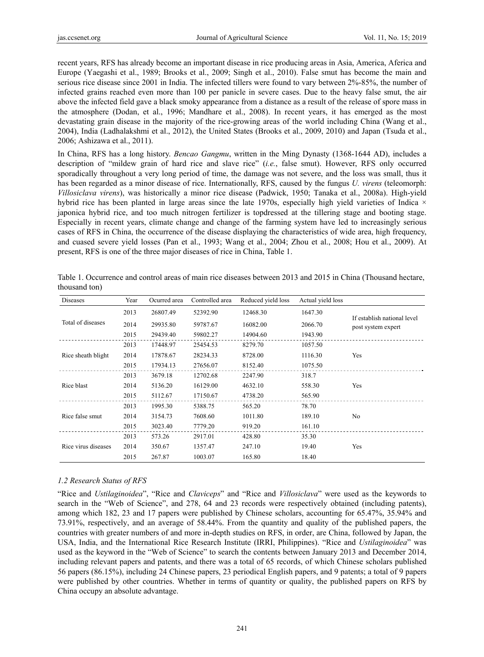recent years, RFS has already become an important disease in rice producing areas in Asia, America, Aferica and Europe (Yaegashi et al., 1989; Brooks et al., 2009; Singh et al., 2010). False smut has become the main and serious rice disease since 2001 in India. The infected tillers were found to vary between 2%-85%, the number of infected grains reached even more than 100 per panicle in severe cases. Due to the heavy false smut, the air above the infected field gave a black smoky appearance from a distance as a result of the release of spore mass in the atmosphere (Dodan, et al., 1996; Mandhare et al., 2008). In recent years, it has emerged as the most devastating grain disease in the majority of the rice-growing areas of the world including China (Wang et al., 2004), India (Ladhalakshmi et al., 2012), the United States (Brooks et al., 2009, 2010) and Japan (Tsuda et al., 2006; Ashizawa et al., 2011).

In China, RFS has a long history. *Bencao Gangmu*, written in the Ming Dynasty (1368-1644 AD), includes a description of "mildew grain of hard rice and slave rice" (*i.e.*, false smut). However, RFS only occurred sporadically throughout a very long period of time, the damage was not severe, and the loss was small, thus it has been regarded as a minor disease of rice. Internationally, RFS, caused by the fungus *U. virens* (teleomorph: *Villosiclava virens*), was historically a minor rice disease (Padwick, 1950; Tanaka et al., 2008a). High-yield hybrid rice has been planted in large areas since the late 1970s, especially high yield varieties of Indica  $\times$ japonica hybrid rice, and too much nitrogen fertilizer is topdressed at the tillering stage and booting stage. Especially in recent years, climate change and change of the farming system have led to increasingly serious cases of RFS in China, the occurrence of the disease displaying the characteristics of wide area, high frequency, and cuased severe yield losses (Pan et al., 1993; Wang et al., 2004; Zhou et al., 2008; Hou et al., 2009). At present, RFS is one of the three major diseases of rice in China, Table 1.

| <b>Diseases</b>     | Year | Ocurred area | Controlled area | Reduced yield loss | Actual yield loss |                                                   |
|---------------------|------|--------------|-----------------|--------------------|-------------------|---------------------------------------------------|
| Total of diseases   | 2013 | 26807.49     | 52392.90        | 12468.30           | 1647.30           |                                                   |
|                     | 2014 | 29935.80     | 59787.67        | 16082.00           | 2066.70           | If establish national level<br>post system expert |
|                     | 2015 | 29439.40     | 59802.27        | 14904.60           | 1943.90           |                                                   |
| Rice sheath blight  | 2013 | 17448.97     | 25454.53        | 8279.70            | 1057.50           |                                                   |
|                     | 2014 | 17878.67     | 28234.33        | 8728.00            | 1116.30           | Yes                                               |
|                     | 2015 | 17934.13     | 27656.07        | 8152.40            | 1075.50           |                                                   |
| Rice blast          | 2013 | 3679.18      | 12702.68        | 2247.90            | 318.7             |                                                   |
|                     | 2014 | 5136.20      | 16129.00        | 4632.10            | 558.30            | Yes                                               |
|                     | 2015 | 5112.67      | 17150.67        | 4738.20            | 565.90            |                                                   |
| Rice false smut     | 2013 | 1995.30      | 5388.75         | 565.20             | 78.70             |                                                   |
|                     | 2014 | 3154.73      | 7608.60         | 1011.80            | 189.10            | No                                                |
|                     | 2015 | 3023.40      | 7779.20         | 919.20             | 161.10            |                                                   |
| Rice virus diseases | 2013 | 573.26       | 2917.01         | 428.80             | 35.30             |                                                   |
|                     | 2014 | 350.67       | 1357.47         | 247.10             | 19.40             | Yes                                               |
|                     | 2015 | 267.87       | 1003.07         | 165.80             | 18.40             |                                                   |

Table 1. Occurrence and control areas of main rice diseases between 2013 and 2015 in China (Thousand hectare, thousand ton)

#### *1.2 Research Status of RFS*

"Rice and *Ustilaginoidea*", "Rice and *Claviceps*" and "Rice and *Villosiclava*" were used as the keywords to search in the "Web of Science", and 278, 64 and 23 records were respectively obtained (including patents), among which 182, 23 and 17 papers were published by Chinese scholars, accounting for 65.47%, 35.94% and 73.91%, respectively, and an average of 58.44%. From the quantity and quality of the published papers, the countries with greater numbers of and more in-depth studies on RFS, in order, are China, followed by Japan, the USA, India, and the International Rice Research Institute (IRRI, Philippines). "Rice and *Ustilaginoidea*" was used as the keyword in the "Web of Science" to search the contents between January 2013 and December 2014, including relevant papers and patents, and there was a total of 65 records, of which Chinese scholars published 56 papers (86.15%), including 24 Chinese papers, 23 periodical English papers, and 9 patents; a total of 9 papers were published by other countries. Whether in terms of quantity or quality, the published papers on RFS by China occupy an absolute advantage.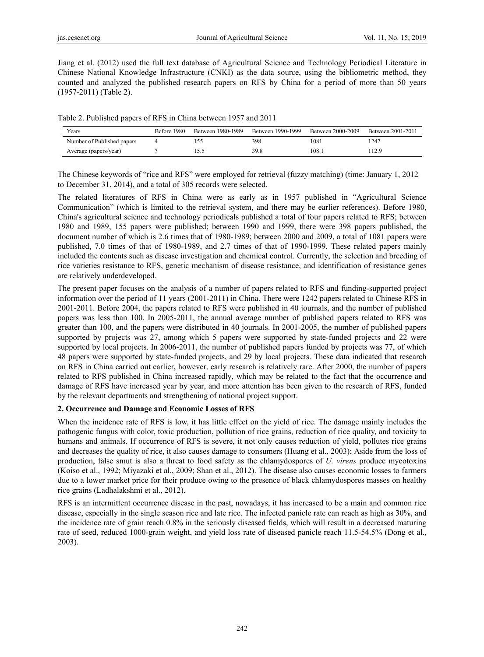Jiang et al. (2012) used the full text database of Agricultural Science and Technology Periodical Literature in Chinese National Knowledge Infrastructure (CNKI) as the data source, using the bibliometric method, they counted and analyzed the published research papers on RFS by China for a period of more than 50 years (1957-2011) (Table 2).

| Table 2. Published papers of RFS in China between 1957 and 2011 |
|-----------------------------------------------------------------|
|-----------------------------------------------------------------|

| Years                      | Before 1980 | Between 1980-1989 | Between 1990-1999 | Between 2000-2009 | Between 2001-2011 |
|----------------------------|-------------|-------------------|-------------------|-------------------|-------------------|
| Number of Published papers |             |                   | 398               | 1081              | 1242              |
| Average (papers/year)      |             |                   | 39.8              | 108.1             | 112.9             |

The Chinese keywords of "rice and RFS" were employed for retrieval (fuzzy matching) (time: January 1, 2012 to December 31, 2014), and a total of 305 records were selected.

The related literatures of RFS in China were as early as in 1957 published in "Agricultural Science Communication" (which is limited to the retrieval system, and there may be earlier references). Before 1980, China's agricultural science and technology periodicals published a total of four papers related to RFS; between 1980 and 1989, 155 papers were published; between 1990 and 1999, there were 398 papers published, the document number of which is 2.6 times that of 1980-1989; between 2000 and 2009, a total of 1081 papers were published, 7.0 times of that of 1980-1989, and 2.7 times of that of 1990-1999. These related papers mainly included the contents such as disease investigation and chemical control. Currently, the selection and breeding of rice varieties resistance to RFS, genetic mechanism of disease resistance, and identification of resistance genes are relatively underdeveloped.

The present paper focuses on the analysis of a number of papers related to RFS and funding-supported project information over the period of 11 years (2001-2011) in China. There were 1242 papers related to Chinese RFS in 2001-2011. Before 2004, the papers related to RFS were published in 40 journals, and the number of published papers was less than 100. In 2005-2011, the annual average number of published papers related to RFS was greater than 100, and the papers were distributed in 40 journals. In 2001-2005, the number of published papers supported by projects was 27, among which 5 papers were supported by state-funded projects and 22 were supported by local projects. In 2006-2011, the number of published papers funded by projects was 77, of which 48 papers were supported by state-funded projects, and 29 by local projects. These data indicated that research on RFS in China carried out earlier, however, early research is relatively rare. After 2000, the number of papers related to RFS published in China increased rapidly, which may be related to the fact that the occurrence and damage of RFS have increased year by year, and more attention has been given to the research of RFS, funded by the relevant departments and strengthening of national project support.

#### **2. Occurrence and Damage and Economic Losses of RFS**

When the incidence rate of RFS is low, it has little effect on the yield of rice. The damage mainly includes the pathogenic fungus with color, toxic production, pollution of rice grains, reduction of rice quality, and toxicity to humans and animals. If occurrence of RFS is severe, it not only causes reduction of yield, pollutes rice grains and decreases the quality of rice, it also causes damage to consumers (Huang et al., 2003); Aside from the loss of production, false smut is also a threat to food safety as the chlamydospores of *U. virens* produce mycotoxins (Koiso et al., 1992; Miyazaki et al., 2009; Shan et al., 2012). The disease also causes economic losses to farmers due to a lower market price for their produce owing to the presence of black chlamydospores masses on healthy rice grains (Ladhalakshmi et al., 2012).

RFS is an intermittent occurrence disease in the past, nowadays, it has increased to be a main and common rice disease, especially in the single season rice and late rice. The infected panicle rate can reach as high as 30%, and the incidence rate of grain reach 0.8% in the seriously diseased fields, which will result in a decreased maturing rate of seed, reduced 1000-grain weight, and yield loss rate of diseased panicle reach 11.5-54.5% (Dong et al., 2003).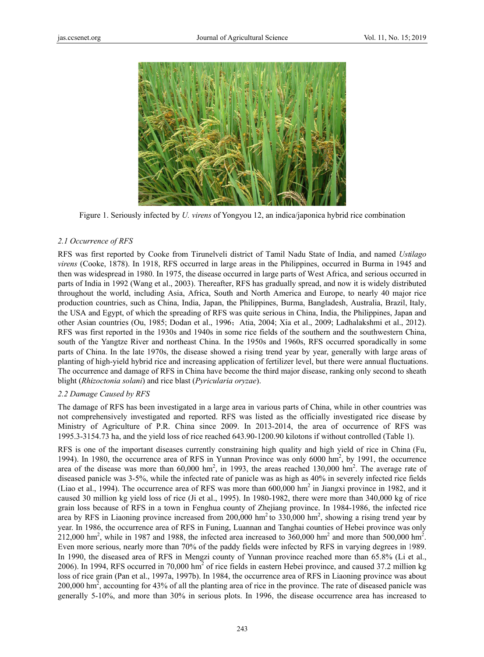

Figure 1. Seriously infected by *U. virens* of Yongyou 12, an indica/japonica hybrid rice combination

#### *2.1 Occurr rence of RFS*

RFS was first reported by Cooke from Tirunelveli district of Tamil Nadu State of India, and named *Ustilago* virens (Cooke, 1878). In 1918, RFS occurred in large areas in the Philippines, occurred in Burma in 1945 and then was widespread in 1980. In 1975, the disease occurred in large parts of West Africa, and serious occurred in parts of India in 1992 (Wang et al., 2003). Thereafter, RFS has gradually spread, and now it is widely distributed throughout the world, including Asia, Africa, South and North America and Europe, to nearly 40 major rice production countries, such as China, India, Japan, the Philippines, Burma, Bangladesh, Australia, Brazil, Italy, the USA and Egypt, of which the spreading of RFS was quite serious in China, India, the Philippines, Japan and other Asian countries (Ou, 1985; Dodan et al., 1996; Atia, 2004; Xia et al., 2009; Ladhalakshmi et al., 2012). RFS was first reported in the 1930s and 1940s in some rice fields of the southern and the southwestern China, south of the Yangtze River and northeast China. In the 1950s and 1960s, RFS occurred sporadically in some parts of China. In the late 1970s, the disease showed a rising trend year by year, generally with large areas of planting of high-yield hybrid rice and increasing application of fertilizer level, but there were annual fluctuations. The occurrence and damage of RFS in China have become the third major disease, ranking only second to sheath blight (*Rhizoctonia solani*) and rice blast (*Pyricularia oryzae*).

#### *2.2 Damag ge Caused by R RFS*

The damage of RFS has been investigated in a large area in various parts of China, while in other countries was not comprehensively investigated and reported. RFS was listed as the officially investigated rice disease by Ministry of Agriculture of P.R. China since 2009. In 2013-2014, the area of occurrence of RFS was 1995.3-3154.73 ha, and the yield loss of rice reached 643.90-1200.90 kilotons if without controlled (Table 1).

RFS is one of the important diseases currently constraining high quality and high yield of rice in China (Fu, 1994). In 1980, the occurrence area of RFS in Yunnan Province was only 6000 hm<sup>2</sup>, by 1991, the occurrence area of the disease was more than  $60,000$  hm<sup>2</sup>, in 1993, the areas reached 130,000 hm<sup>2</sup>. The average rate of diseased panicle was 3-5%, while the infected rate of panicle was as high as 40% in severely infected rice fields (Liao et al., 1994). The occurrence area of RFS was more than  $600,000$  hm<sup>2</sup> in Jiangxi province in 1982, and it caused 30 million kg yield loss of rice (Ji et al., 1995). In 1980-1982, there were more than 340,000 kg of rice grain loss because of RFS in a town in Fenghua county of Zhejiang province. In 1984-1986, the infected rice area by RFS in Liaoning province increased from 200,000 hm<sup>2</sup> to 330,000 hm<sup>2</sup>, showing a rising trend year by year. In 1986, the occurrence area of RFS in Funing, Luannan and Tanghai counties of Hebei province was only  $212,000$  hm<sup>2</sup>, while in 1987 and 1988, the infected area increased to 360,000 hm<sup>2</sup> and more than 500,000 hm<sup>2</sup>. Even more serious, nearly more than 70% of the paddy fields were infected by RFS in varying degrees in 1989. In 1990, the diseased area of RFS in Mengzi county of Yunnan province reached more than 65.8% (Li et al., 2006). In 1994, RFS occurred in 70,000  $\text{hm}^2$  of rice fields in eastern Hebei province, and caused 37.2 million kg loss of rice grain (Pan et al., 1997a, 1997b). In 1984, the occurrence area of RFS in Liaoning province was about 200,000  $\text{hm}^2$ , accounting for 43% of all the planting area of rice in the province. The rate of diseased panicle was generally 5-10%, and more than 30% in serious plots. In 1996, the disease occurrence area has increased to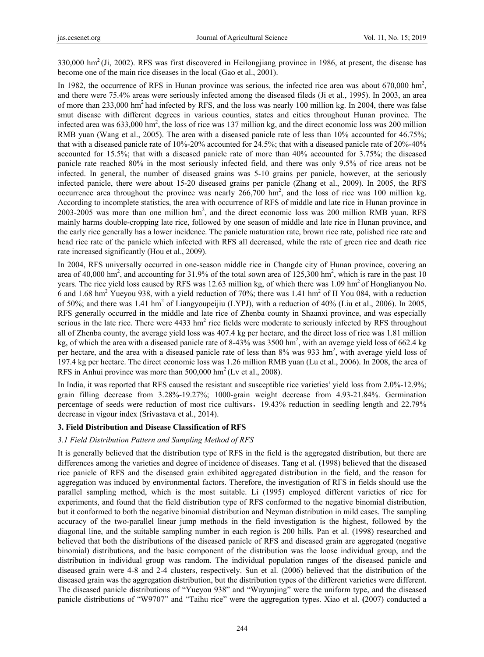330,000 hm2 (Ji, 2002). RFS was first discovered in Heilongjiang province in 1986, at present, the disease has become one of the main rice diseases in the local (Gao et al., 2001).

In 1982, the occurrence of RFS in Hunan province was serious, the infected rice area was about  $670,000$  hm<sup>2</sup>, and there were 75.4% areas were seriously infected among the diseased fileds (Ji et al., 1995). In 2003, an area of more than 233,000 hm2 had infected by RFS, and the loss was nearly 100 million kg. In 2004, there was false smut disease with different degrees in various counties, states and cities throughout Hunan province. The infected area was  $633,000 \text{ hm}^2$ , the loss of rice was 137 million kg, and the direct economic loss was 200 million RMB yuan (Wang et al., 2005). The area with a diseased panicle rate of less than 10% accounted for 46.75%; that with a diseased panicle rate of 10%-20% accounted for 24.5%; that with a diseased panicle rate of 20%-40% accounted for 15.5%; that with a diseased panicle rate of more than 40% accounted for 3.75%; the diseased panicle rate reached 80% in the most seriously infected field, and there was only 9.5% of rice areas not be infected. In general, the number of diseased grains was 5-10 grains per panicle, however, at the seriously infected panicle, there were about 15-20 diseased grains per panicle (Zhang et al., 2009). In 2005, the RFS occurrence area throughout the province was nearly  $266,700 \text{ hm}^2$ , and the loss of rice was 100 million kg. According to incomplete statistics, the area with occurrence of RFS of middle and late rice in Hunan province in  $2003 - 2005$  was more than one million  $hm^2$ , and the direct economic loss was 200 million RMB yuan. RFS mainly harms double-cropping late rice, followed by one season of middle and late rice in Hunan province, and the early rice generally has a lower incidence. The panicle maturation rate, brown rice rate, polished rice rate and head rice rate of the panicle which infected with RFS all decreased, while the rate of green rice and death rice rate increased significantly (Hou et al., 2009).

In 2004, RFS universally occurred in one-season middle rice in Changde city of Hunan province, covering an area of 40,000 hm<sup>2</sup>, and accounting for 31.9% of the total sown area of 125,300 hm<sup>2</sup>, which is rare in the past 10 years. The rice yield loss caused by RFS was 12.63 million kg, of which there was 1.09 hm<sup>2</sup> of Honglianyou No. 6 and 1.68 hm<sup>2</sup> Yueyou 938, with a yield reduction of 70%; there was 1.41 hm<sup>2</sup> of II You 084, with a reduction of 50%; and there was 1.41 hm<sup>2</sup> of Liangyoupeijiu (LYPJ), with a reduction of 40% (Liu et al., 2006). In 2005, RFS generally occurred in the middle and late rice of Zhenba county in Shaanxi province, and was especially serious in the late rice. There were  $4433 \text{ hm}^2$  rice fields were moderate to seriously infected by RFS throughout all of Zhenba county, the average yield loss was 407.4 kg per hectare, and the direct loss of rice was 1.81 million kg, of which the area with a diseased panicle rate of 8-43% was 3500 hm<sup>2</sup>, with an average yield loss of 662.4 kg per hectare, and the area with a diseased panicle rate of less than 8% was 933 hm<sup>2</sup>, with average yield loss of 197.4 kg per hectare. The direct economic loss was 1.26 million RMB yuan (Lu et al., 2006). In 2008, the area of RFS in Anhui province was more than  $500,000$  hm<sup>2</sup> (Lv et al., 2008).

In India, it was reported that RFS caused the resistant and susceptible rice varieties' yield loss from 2.0%-12.9%; grain filling decrease from 3.28%-19.27%; 1000-grain weight decrease from 4.93-21.84%. Germination percentage of seeds were reduction of most rice cultivars,19.43% reduction in seedling length and 22.79% decrease in vigour index (Srivastava et al., 2014).

#### **3. Field Distribution and Disease Classification of RFS**

#### *3.1 Field Distribution Pattern and Sampling Method of RFS*

It is generally believed that the distribution type of RFS in the field is the aggregated distribution, but there are differences among the varieties and degree of incidence of diseases. Tang et al. (1998) believed that the diseased rice panicle of RFS and the diseased grain exhibited aggregated distribution in the field, and the reason for aggregation was induced by environmental factors. Therefore, the investigation of RFS in fields should use the parallel sampling method, which is the most suitable. Li (1995) employed different varieties of rice for experiments, and found that the field distribution type of RFS conformed to the negative binomial distribution, but it conformed to both the negative binomial distribution and Neyman distribution in mild cases. The sampling accuracy of the two-parallel linear jump methods in the field investigation is the highest, followed by the diagonal line, and the suitable sampling number in each region is 200 hills. Pan et al. (1998) researched and believed that both the distributions of the diseased panicle of RFS and diseased grain are aggregated (negative binomial) distributions, and the basic component of the distribution was the loose individual group, and the distribution in individual group was random. The individual population ranges of the diseased panicle and diseased grain were 4-8 and 2-4 clusters, respectively. Sun et al. (2006) believed that the distribution of the diseased grain was the aggregation distribution, but the distribution types of the different varieties were different. The diseased panicle distributions of "Yueyou 938" and "Wuyunjing" were the uniform type, and the diseased panicle distributions of "W9707" and "Taihu rice" were the aggregation types. Xiao et al. **(**2007) conducted a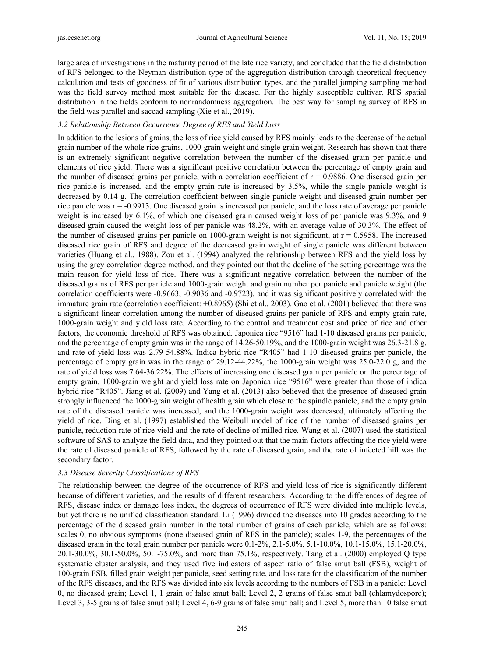large area of investigations in the maturity period of the late rice variety, and concluded that the field distribution of RFS belonged to the Neyman distribution type of the aggregation distribution through theoretical frequency calculation and tests of goodness of fit of various distribution types, and the parallel jumping sampling method was the field survey method most suitable for the disease. For the highly susceptible cultivar, RFS spatial distribution in the fields conform to nonrandomness aggregation. The best way for sampling survey of RFS in the field was parallel and saccad sampling (Xie et al., 2019).

### *3.2 Relationship Between Occurrence Degree of RFS and Yield Loss*

In addition to the lesions of grains, the loss of rice yield caused by RFS mainly leads to the decrease of the actual grain number of the whole rice grains, 1000-grain weight and single grain weight. Research has shown that there is an extremely significant negative correlation between the number of the diseased grain per panicle and elements of rice yield. There was a significant positive correlation between the percentage of empty grain and the number of diseased grains per panicle, with a correlation coefficient of  $r = 0.9886$ . One diseased grain per rice panicle is increased, and the empty grain rate is increased by 3.5%, while the single panicle weight is decreased by 0.14 g. The correlation coefficient between single panicle weight and diseased grain number per rice panicle was r = -0.9913. One diseased grain is increased per panicle, and the loss rate of average per panicle weight is increased by 6.1%, of which one diseased grain caused weight loss of per panicle was 9.3%, and 9 diseased grain caused the weight loss of per panicle was 48.2%, with an average value of 30.3%. The effect of the number of diseased grains per panicle on 1000-grain weight is not significant, at  $r = 0.5958$ . The increased diseased rice grain of RFS and degree of the decreased grain weight of single panicle was different between varieties (Huang et al., 1988). Zou et al. (1994) analyzed the relationship between RFS and the yield loss by using the grey correlation degree method, and they pointed out that the decline of the setting percentage was the main reason for yield loss of rice. There was a significant negative correlation between the number of the diseased grains of RFS per panicle and 1000-grain weight and grain number per panicle and panicle weight (the correlation coefficients were -0.9663, -0.9036 and -0.9723), and it was significant positively correlated with the immature grain rate (correlation coefficient: +0.8965) (Shi et al., 2003). Gao et al. (2001) believed that there was a significant linear correlation among the number of diseased grains per panicle of RFS and empty grain rate, 1000-grain weight and yield loss rate. According to the control and treatment cost and price of rice and other factors, the economic threshold of RFS was obtained. Japonica rice "9516" had 1-10 diseased grains per panicle, and the percentage of empty grain was in the range of 14.26-50.19%, and the 1000-grain weight was 26.3-21.8 g, and rate of yield loss was 2.79-54.88%. Indica hybrid rice "R405" had 1-10 diseased grains per panicle, the percentage of empty grain was in the range of 29.12-44.22%, the 1000-grain weight was 25.0-22.0 g, and the rate of yield loss was 7.64-36.22%. The effects of increasing one diseased grain per panicle on the percentage of empty grain, 1000-grain weight and yield loss rate on Japonica rice "9516" were greater than those of indica hybrid rice "R405". Jiang et al. (2009) and Yang et al. (2013) also believed that the presence of diseased grain strongly influenced the 1000-grain weight of health grain which close to the spindle panicle, and the empty grain rate of the diseased panicle was increased, and the 1000-grain weight was decreased, ultimately affecting the yield of rice. Ding et al. (1997) established the Weibull model of rice of the number of diseased grains per panicle, reduction rate of rice yield and the rate of decline of milled rice. Wang et al. (2007) used the statistical software of SAS to analyze the field data, and they pointed out that the main factors affecting the rice yield were the rate of diseased panicle of RFS, followed by the rate of diseased grain, and the rate of infected hill was the secondary factor.

#### *3.3 Disease Severity Classifications of RFS*

The relationship between the degree of the occurrence of RFS and yield loss of rice is significantly different because of different varieties, and the results of different researchers. According to the differences of degree of RFS, disease index or damage loss index, the degrees of occurrence of RFS were divided into multiple levels, but yet there is no unified classification standard. Li (1996) divided the diseases into 10 grades according to the percentage of the diseased grain number in the total number of grains of each panicle, which are as follows: scales 0, no obvious symptoms (none diseased grain of RFS in the panicle); scales 1-9, the percentages of the diseased grain in the total grain number per panicle were 0.1-2%, 2.1-5.0%, 5.1-10.0%, 10.1-15.0%, 15.1-20.0%, 20.1-30.0%, 30.1-50.0%, 50.1-75.0%, and more than 75.1%, respectively. Tang et al. (2000) employed Q type systematic cluster analysis, and they used five indicators of aspect ratio of false smut ball (FSB), weight of 100-grain FSB, filled grain weight per panicle, seed setting rate, and loss rate for the classification of the number of the RFS diseases, and the RFS was divided into six levels according to the numbers of FSB in a panicle: Level 0, no diseased grain; Level 1, 1 grain of false smut ball; Level 2, 2 grains of false smut ball (chlamydospore); Level 3, 3-5 grains of false smut ball; Level 4, 6-9 grains of false smut ball; and Level 5, more than 10 false smut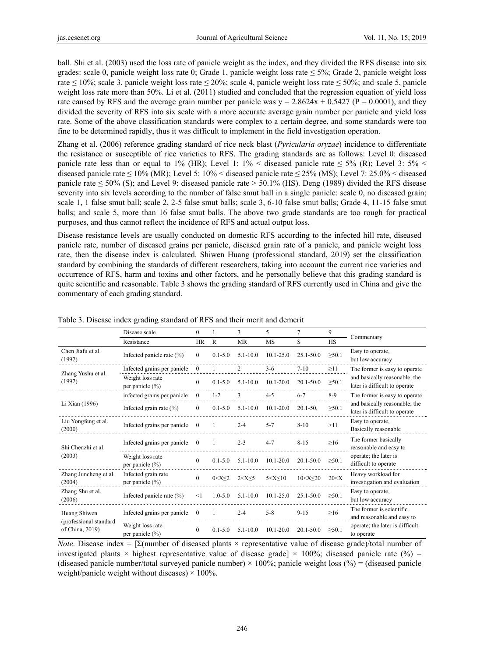ball. Shi et al. (2003) used the loss rate of panicle weight as the index, and they divided the RFS disease into six grades: scale 0, panicle weight loss rate 0; Grade 1, panicle weight loss rate ≤ 5%; Grade 2, panicle weight loss rate  $\leq 10\%$ ; scale 3, panicle weight loss rate  $\leq 20\%$ ; scale 4, panicle weight loss rate  $\leq 50\%$ ; and scale 5, panicle weight loss rate more than 50%. Li et al. (2011) studied and concluded that the regression equation of yield loss rate caused by RFS and the average grain number per panicle was  $y = 2.8624x + 0.5427$  (P = 0.0001), and they divided the severity of RFS into six scale with a more accurate average grain number per panicle and yield loss rate. Some of the above classification standards were complex to a certain degree, and some standards were too fine to be determined rapidly, thus it was difficult to implement in the field investigation operation.

Zhang et al. (2006) reference grading standard of rice neck blast (*Pyricularia oryzae*) incidence to differentiate the resistance or susceptible of rice varieties to RFS. The grading standards are as follows: Level 0: diseased panicle rate less than or equal to 1% (HR); Level 1:  $1\%$  < diseased panicle rate  $\leq 5\%$  (R); Level 3:  $5\%$  < diseased panicle rate  $\leq 10\%$  (MR); Level 5: 10% < diseased panicle rate  $\leq 25\%$  (MS); Level 7: 25.0% < diseased panicle rate  $\leq$  50% (S); and Level 9: diseased panicle rate  $>$  50.1% (HS). Deng (1989) divided the RFS disease severity into six levels according to the number of false smut ball in a single panicle: scale 0, no diseased grain; scale 1, 1 false smut ball; scale 2, 2-5 false smut balls; scale 3, 6-10 false smut balls; Grade 4, 11-15 false smut balls; and scale 5, more than 16 false smut balls. The above two grade standards are too rough for practical purposes, and thus cannot reflect the incidence of RFS and actual output loss.

Disease resistance levels are usually conducted on domestic RFS according to the infected hill rate, diseased panicle rate, number of diseased grains per panicle, diseased grain rate of a panicle, and panicle weight loss rate, then the disease index is calculated. Shiwen Huang (professional standard, 2019) set the classification standard by combining the standards of different researchers, taking into account the current rice varieties and occurrence of RFS, harm and toxins and other factors, and he personally believe that this grading standard is quite scientific and reasonable. Table 3 shows the grading standard of RFS currently used in China and give the commentary of each grading standard.

|                                                           | Disease scale                           | $\overline{0}$ |              | 3              | 5               | $\overline{7}$   | 9           |                                                                                                 |  |
|-----------------------------------------------------------|-----------------------------------------|----------------|--------------|----------------|-----------------|------------------|-------------|-------------------------------------------------------------------------------------------------|--|
|                                                           | Resistance                              |                | $\mathbb{R}$ | <b>MR</b>      | <b>MS</b>       | S                | <b>HS</b>   | Commentary                                                                                      |  |
| Chen Jiafu et al.<br>(1992)                               | Infected panicle rate (%)               | $\theta$       | $0.1 - 5.0$  | $5.1 - 10.0$   | $10.1 - 25.0$   | $25.1 - 50.0$    | $\geq 50.1$ | Easy to operate,<br>but low accuracy                                                            |  |
| Zhang Yushu et al.<br>(1992)                              | Infected grains per panicle             | $\mathbf{0}$   |              | $\overline{2}$ | $3 - 6$         | $7 - 10$         | $\geq$ 11   | The former is easy to operate                                                                   |  |
|                                                           | Weight loss rate<br>per panicle $(\% )$ | $\overline{0}$ | $0.1 - 5.0$  | $5.1 - 10.0$   | $10.1 - 20.0$   | $20.1 - 50.0$    | $\geq 50.1$ | and basically reasonable; the<br>later is difficult to operate                                  |  |
|                                                           | infected grains per panicle             | $\mathbf{0}$   | $1 - 2$      | 3              | $4 - 5$         | $6 - 7$          | $8-9$       | The former is easy to operate                                                                   |  |
| Li Xian (1996)                                            | Infected grain rate $(\% )$             | $\bf{0}$       | $0.1 - 5.0$  | $5.1 - 10.0$   | $10.1 - 20.0$   | $20.1 - 50$ ,    | $\geq 50.1$ | and basically reasonable; the<br>later is difficult to operate                                  |  |
| Liu Yongfeng et al.<br>(2000)                             | Infected grains per panicle             | $\Omega$       |              | $2 - 4$        | $5 - 7$         | $8 - 10$         | >11         | Easy to operate,<br>Basically reasonable                                                        |  |
| Shi Chenzhi et al.<br>(2003)                              | Infected grains per panicle             | $\mathbf{0}$   |              | $2 - 3$        | $4 - 7$         | $8 - 15$         | $\geq 16$   | The former basically<br>reasonable and easy to<br>operate; the later is<br>difficult to operate |  |
|                                                           | Weight loss rate<br>per panicle (%)     | $\mathbf{0}$   | $0.1 - 5.0$  | $5.1 - 10.0$   | $10.1 - 20.0$   | $20.1 - 50.0$    | $\geq 50.1$ |                                                                                                 |  |
| Zhang Juncheng et al.<br>(2004)                           | Infected grain rate<br>per panicle (%)  | $\theta$       | 0 < X < 2    | $2 < X \leq 5$ | $5 < X \leq 10$ | $10 < X \leq 20$ | 20 < X      | Heavy workload for<br>investigation and evaluation                                              |  |
| Zhang Shu et al.<br>(2006)                                | Infected panicle rate (%)               | $<$ 1          | $1.0 - 5.0$  | $5.1 - 10.0$   | $10.1 - 25.0$   | 25.1-50.0        | $\geq 50.1$ | Easy to operate,<br>but low accuracy                                                            |  |
| Huang Shiwen<br>(professional standard<br>of China, 2019) | Infected grains per panicle             | $\mathbf{0}$   | 1            | $2 - 4$        | $5 - 8$         | $9 - 15$         | $\geq 16$   | The former is scientific<br>and reasonable and easy to                                          |  |
|                                                           | Weight loss rate<br>per panicle (%)     | $\theta$       | $0.1 - 5.0$  | $5.1 - 10.0$   | $10.1 - 20.0$   | $20.1 - 50.0$    | $\geq 50.1$ | operate; the later is difficult<br>to operate                                                   |  |

Table 3. Disease index grading standard of RFS and their merit and demerit

*Note*. Disease index = [Σ(number of diseased plants × representative value of disease grade)/total number of investigated plants  $\times$  highest representative value of disease grade]  $\times$  100%; diseased panicle rate (%) = (diseased panicle number/total surveyed panicle number)  $\times$  100%; panicle weight loss (%) = (diseased panicle weight/panicle weight without diseases)  $\times$  100%.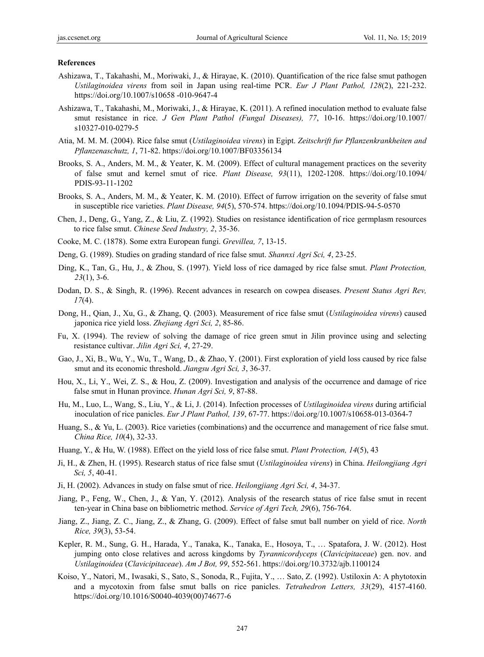#### **References**

- Ashizawa, T., Takahashi, M., Moriwaki, J., & Hirayae, K. (2010). Quantification of the rice false smut pathogen *Ustilaginoidea virens* from soil in Japan using real-time PCR. *Eur J Plant Pathol, 128*(2), 221-232. https://doi.org/10.1007/s10658 -010-9647-4
- Ashizawa, T., Takahashi, M., Moriwaki, J., & Hirayae, K. (2011). A refined inoculation method to evaluate false smut resistance in rice. *J Gen Plant Pathol (Fungal Diseases), 77*, 10-16. https://doi.org/10.1007/ s10327-010-0279-5
- Atia, M. M. M. (2004). Rice false smut (*Ustilaginoidea virens*) in Egipt. *Zeitschrift fur Pflanzenkrankheiten and Pflanzenaschutz, 1*, 71-82. https://doi.org/10.1007/BF03356134
- Brooks, S. A., Anders, M. M., & Yeater, K. M. (2009). Effect of cultural management practices on the severity of false smut and kernel smut of rice. *Plant Disease, 93*(11), 1202-1208. https://doi.org/10.1094/ PDIS-93-11-1202
- Brooks, S. A., Anders, M. M., & Yeater, K. M. (2010). Effect of furrow irrigation on the severity of false smut in susceptible rice varieties. *Plant Disease, 94*(5), 570-574. https://doi.org/10.1094/PDIS-94-5-0570
- Chen, J., Deng, G., Yang, Z., & Liu, Z. (1992). Studies on resistance identification of rice germplasm resources to rice false smut. *Chinese Seed Industry, 2*, 35-36.
- Cooke, M. C. (1878). Some extra European fungi. *Grevillea, 7*, 13-15.
- Deng, G. (1989). Studies on grading standard of rice false smut. *Shannxi Agri Sci, 4*, 23-25.
- Ding, K., Tan, G., Hu, J., & Zhou, S. (1997). Yield loss of rice damaged by rice false smut. *Plant Protection, 23*(1), 3-6.
- Dodan, D. S., & Singh, R. (1996). Recent advances in research on cowpea diseases. *Present Status Agri Rev, 17*(4).
- Dong, H., Qian, J., Xu, G., & Zhang, Q. (2003). Measurement of rice false smut (*Ustilaginoidea virens*) caused japonica rice yield loss. *Zhejiang Agri Sci, 2*, 85-86.
- Fu, X. (1994). The review of solving the damage of rice green smut in Jilin province using and selecting resistance cultivar. *Jilin Agri Sci, 4*, 27-29.
- Gao, J., Xi, B., Wu, Y., Wu, T., Wang, D., & Zhao, Y. (2001). First exploration of yield loss caused by rice false smut and its economic threshold. *Jiangsu Agri Sci, 3*, 36-37.
- Hou, X., Li, Y., Wei, Z. S., & Hou, Z. (2009). Investigation and analysis of the occurrence and damage of rice false smut in Hunan province. *Hunan Agri Sci, 9*, 87-88.
- Hu, M., Luo, L., Wang, S., Liu, Y., & Li, J. (2014). Infection processes of *Ustilaginoidea virens* during artificial inoculation of rice panicles. *Eur J Plant Pathol, 139*, 67-77. https://doi.org/10.1007/s10658-013-0364-7
- Huang, S., & Yu, L. (2003). Rice varieties (combinations) and the occurrence and management of rice false smut. *China Rice, 10*(4), 32-33.
- Huang, Y., & Hu, W. (1988). Effect on the yield loss of rice false smut. *Plant Protection, 14*(5), 43
- Ji, H., & Zhen, H. (1995). Research status of rice false smut (*Ustilaginoidea virens*) in China. *Heilongjiang Agri Sci, 5*, 40-41.
- Ji, H. (2002). Advances in study on false smut of rice. *Heilongjiang Agri Sci, 4*, 34-37.
- Jiang, P., Feng, W., Chen, J., & Yan, Y. (2012). Analysis of the research status of rice false smut in recent ten-year in China base on bibliometric method. *Service of Agri Tech, 29*(6), 756-764.
- Jiang, Z., Jiang, Z. C., Jiang, Z., & Zhang, G. (2009). Effect of false smut ball number on yield of rice. *North Rice, 39*(3), 53-54.
- Kepler, R. M., Sung, G. H., Harada, Y., Tanaka, K., Tanaka, E., Hosoya, T., … Spatafora, J. W. (2012). Host jumping onto close relatives and across kingdoms by *Tyrannicordyceps* (*Clavicipitaceae*) gen. nov. and *Ustilaginoidea* (*Clavicipitaceae*). *Am J Bot, 99*, 552-561. https://doi.org/10.3732/ajb.1100124
- Koiso, Y., Natori, M., Iwasaki, S., Sato, S., Sonoda, R., Fujita, Y., … Sato, Z. (1992). Ustiloxin A: A phytotoxin and a mycotoxin from false smut balls on rice panicles. *Tetrahedron Letters, 33*(29), 4157-4160. https://doi.org/10.1016/S0040-4039(00)74677-6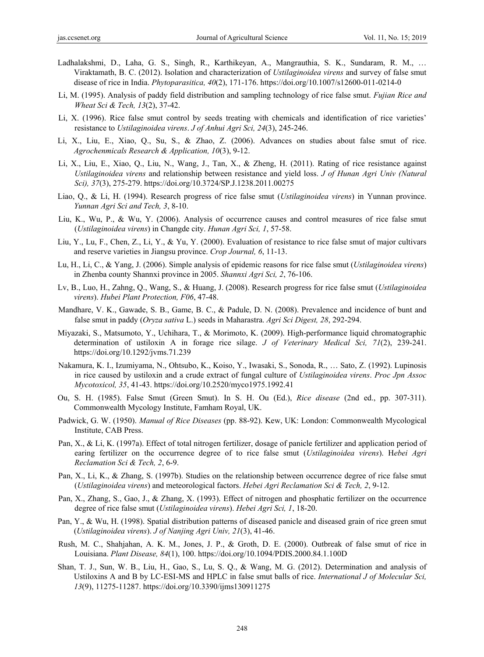- Ladhalakshmi, D., Laha, G. S., Singh, R., Karthikeyan, A., Mangrauthia, S. K., Sundaram, R. M., … Viraktamath, B. C. (2012). Isolation and characterization of *Ustilaginoidea virens* and survey of false smut disease of rice in India. *Phytoparasitica, 40*(2), 171-176. https://doi.org/10.1007/s12600-011-0214-0
- Li, M. (1995). Analysis of paddy field distribution and sampling technology of rice false smut. *Fujian Rice and Wheat Sci & Tech, 13*(2), 37-42.
- Li, X. (1996). Rice false smut control by seeds treating with chemicals and identification of rice varieties' resistance to *Ustilaginoidea virens*. *J of Anhui Agri Sci, 24*(3), 245-246.
- Li, X., Liu, E., Xiao, Q., Su, S., & Zhao, Z. (2006). Advances on studies about false smut of rice. *Agrochenmicals Research & Application, 10*(3), 9-12.
- Li, X., Liu, E., Xiao, Q., Liu, N., Wang, J., Tan, X., & Zheng, H. (2011). Rating of rice resistance against *Ustilaginoidea virens* and relationship between resistance and yield loss. *J of Hunan Agri Univ (Natural Sci), 37*(3), 275-279. https://doi.org/10.3724/SP.J.1238.2011.00275
- Liao, Q., & Li, H. (1994). Research progress of rice false smut (*Ustilaginoidea virens*) in Yunnan province. *Yunnan Agri Sci and Tech, 3*, 8-10.
- Liu, K., Wu, P., & Wu, Y. (2006). Analysis of occurrence causes and control measures of rice false smut (*Ustilaginoidea virens*) in Changde city. *Hunan Agri Sci, 1*, 57-58.
- Liu, Y., Lu, F., Chen, Z., Li, Y., & Yu, Y. (2000). Evaluation of resistance to rice false smut of major cultivars and reserve varieties in Jiangsu province. *Crop Journal, 6*, 11-13.
- Lu, H., Li, C., & Yang, J. (2006). Simple analysis of epidemic reasons for rice false smut (*Ustilaginoidea virens*) in Zhenba county Shannxi province in 2005. *Shannxi Agri Sci, 2*, 76-106.
- Lv, B., Luo, H., Zahng, Q., Wang, S., & Huang, J. (2008). Research progress for rice false smut (*Ustilaginoidea virens*). *Hubei Plant Protection, F06*, 47-48.
- Mandhare, V. K., Gawade, S. B., Game, B. C., & Padule, D. N. (2008). Prevalence and incidence of bunt and false smut in paddy (*Oryza sativa* L.) seeds in Maharastra. *Agri Sci Digest, 28*, 292-294.
- Miyazaki, S., Matsumoto, Y., Uchihara, T., & Morimoto, K. (2009). High-performance liquid chromatographic determination of ustiloxin A in forage rice silage. *J of Veterinary Medical Sci, 71*(2), 239-241. https://doi.org/10.1292/jvms.71.239
- Nakamura, K. I., Izumiyama, N., Ohtsubo, K., Koiso, Y., Iwasaki, S., Sonoda, R., … Sato, Z. (1992). Lupinosis in rice caused by ustiloxin and a crude extract of fungal culture of *Ustilaginoidea virens*. *Proc Jpn Assoc Mycotoxicol, 35*, 41-43. https://doi.org/10.2520/myco1975.1992.41
- Ou, S. H. (1985). False Smut (Green Smut). In S. H. Ou (Ed.), *Rice disease* (2nd ed., pp. 307-311). Commonwealth Mycology Institute, Famham Royal, UK.
- Padwick, G. W. (1950). *Manual of Rice Diseases* (pp. 88-92). Kew, UK: London: Commonwealth Mycological Institute, CAB Press.
- Pan, X., & Li, K. (1997a). Effect of total nitrogen fertilizer, dosage of panicle fertilizer and application period of earing fertilizer on the occurrence degree of to rice false smut (*Ustilaginoidea virens*). H*ebei Agri Reclamation Sci & Tech, 2*, 6-9.
- Pan, X., Li, K., & Zhang, S. (1997b). Studies on the relationship between occurrence degree of rice false smut (*Ustilaginoidea virens*) and meteorological factors. *Hebei Agri Reclamation Sci & Tech, 2*, 9-12.
- Pan, X., Zhang, S., Gao, J., & Zhang, X. (1993). Effect of nitrogen and phosphatic fertilizer on the occurrence degree of rice false smut (*Ustilaginoidea virens*). *Hebei Agri Sci, 1*, 18-20.
- Pan, Y., & Wu, H. (1998). Spatial distribution patterns of diseased panicle and diseased grain of rice green smut (*Ustilaginoidea virens*). *J of Nanjing Agri Univ, 21*(3), 41-46.
- Rush, M. C., Shahjahan, A. K. M., Jones, J. P., & Groth, D. E. (2000). Outbreak of false smut of rice in Louisiana. *Plant Disease, 84*(1), 100. https://doi.org/10.1094/PDIS.2000.84.1.100D
- Shan, T. J., Sun, W. B., Liu, H., Gao, S., Lu, S. Q., & Wang, M. G. (2012). Determination and analysis of Ustiloxins A and B by LC-ESI-MS and HPLC in false smut balls of rice. *International J of Molecular Sci, 13*(9), 11275-11287. https://doi.org/10.3390/ijms130911275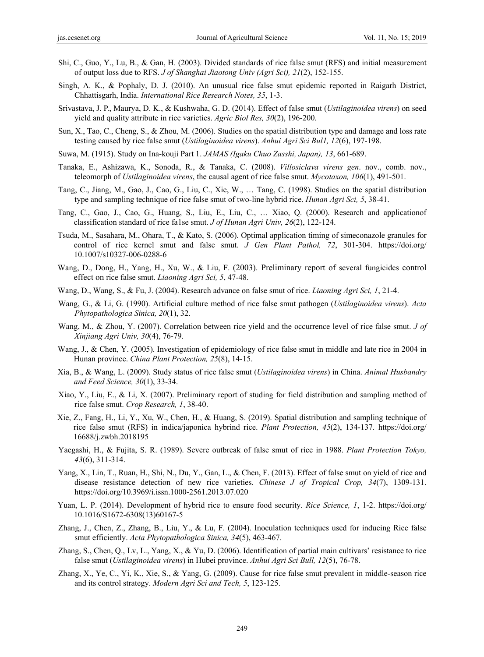- Shi, C., Guo, Y., Lu, B., & Gan, H. (2003). Divided standards of rice false smut (RFS) and initial measurement of output loss due to RFS. *J of Shanghai Jiaotong Univ (Agri Sci), 21*(2), 152-155.
- Singh, A. K., & Pophaly, D. J. (2010). An unusual rice false smut epidemic reported in Raigarh District, Chhattisgarh, India. *International Rice Research Notes, 35*, 1-3.
- Srivastava, J. P., Maurya, D. K., & Kushwaha, G. D. (2014). Effect of false smut (*Ustilaginoidea virens*) on seed yield and quality attribute in rice varieties. *Agric Biol Res, 30*(2), 196-200.
- Sun, X., Tao, C., Cheng, S., & Zhou, M. (2006). Studies on the spatial distribution type and damage and loss rate testing caused by rice false smut (*Ustilaginoidea virens*). *Anhui Agri Sci Bul1, 12*(6), 197-198.
- Suwa, M. (1915). Study on Ina-kouji Part 1. *JAMAS (Igaku Chuo Zasshi, Japan), 13*, 661-689.
- Tanaka, E., Ashizawa, K., Sonoda, R., & Tanaka, C. (2008). *Villosiclava virens gen*. nov., comb. nov., teleomorph of *Ustilaginoidea virens*, the causal agent of rice false smut. *Mycotaxon, 106*(1), 491-501.
- Tang, C., Jiang, M., Gao, J., Cao, G., Liu, C., Xie, W., … Tang, C. (1998). Studies on the spatial distribution type and sampling technique of rice false smut of two-line hybrid rice. *Hunan Agri Sci, 5*, 38-41.
- Tang, C., Gao, J., Cao, G., Huang, S., Liu, E., Liu, C., … Xiao, Q. (2000). Research and applicationof classification standard of rice fa1se smut. *J of Hunan Agri Univ, 26*(2), 122-124.
- Tsuda, M., Sasahara, M., Ohara, T., & Kato, S. (2006). Optimal application timing of simeconazole granules for control of rice kernel smut and false smut. *J Gen Plant Pathol, 72*, 301-304. https://doi.org/ 10.1007/s10327-006-0288-6
- Wang, D., Dong, H., Yang, H., Xu, W., & Liu, F. (2003). Preliminary report of several fungicides control effect on rice false smut. *Liaoning Agri Sci, 5*, 47-48.
- Wang, D., Wang, S., & Fu, J. (2004). Research advance on false smut of rice. *Liaoning Agri Sci, 1*, 21-4.
- Wang, G., & Li, G. (1990). Artificial culture method of rice false smut pathogen (*Ustilaginoidea virens*). *Acta Phytopathologica Sinica, 20*(1), 32.
- Wang, M., & Zhou, Y. (2007). Correlation between rice yield and the occurrence level of rice false smut. *J of Xinjiang Agri Univ, 30*(4), 76-79.
- Wang, J., & Chen, Y. (2005). Investigation of epidemiology of rice false smut in middle and late rice in 2004 in Hunan province. *China Plant Protection, 25*(8), 14-15.
- Xia, B., & Wang, L. (2009). Study status of rice false smut (*Ustilaginoidea virens*) in China. *Animal Husbandry and Feed Science, 30*(1), 33-34.
- Xiao, Y., Liu, E., & Li, X. (2007). Preliminary report of studing for field distribution and sampling method of rice false smut. *Crop Research, 1*, 38-40.
- Xie, Z., Fang, H., Li, Y., Xu, W., Chen, H., & Huang, S. (2019). Spatial distribution and sampling technique of rice false smut (RFS) in indica/japonica hybrind rice. *Plant Protection, 45*(2), 134-137. https://doi.org/ 16688/j.zwbh.2018195
- Yaegashi, H., & Fujita, S. R. (1989). Severe outbreak of false smut of rice in 1988. *Plant Protection Tokyo, 43*(6), 311-314.
- Yang, X., Lin, T., Ruan, H., Shi, N., Du, Y., Gan, L., & Chen, F. (2013). Effect of false smut on yield of rice and disease resistance detection of new rice varieties. *Chinese J of Tropical Crop, 34*(7), 1309-131. https://doi.org/10.3969/i.issn.1000-2561.2013.07.020
- Yuan, L. P. (2014). Development of hybrid rice to ensure food security. *Rice Science, 1*, 1-2. https://doi.org/ 10.1016/S1672-6308(13)60167-5
- Zhang, J., Chen, Z., Zhang, B., Liu, Y., & Lu, F. (2004). Inoculation techniques used for inducing Rice false smut efficiently. *Acta Phytopathologica Sinica, 34*(5), 463-467.
- Zhang, S., Chen, Q., Lv, L., Yang, X., & Yu, D. (2006). Identification of partial main cultivars' resistance to rice false smut (*Ustilaginoidea virens*) in Hubei province. *Anhui Agri Sci Bull, 12*(5), 76-78.
- Zhang, X., Ye, C., Yi, K., Xie, S., & Yang, G. (2009). Cause for rice false smut prevalent in middle-season rice and its control strategy. *Modern Agri Sci and Tech, 5*, 123-125.